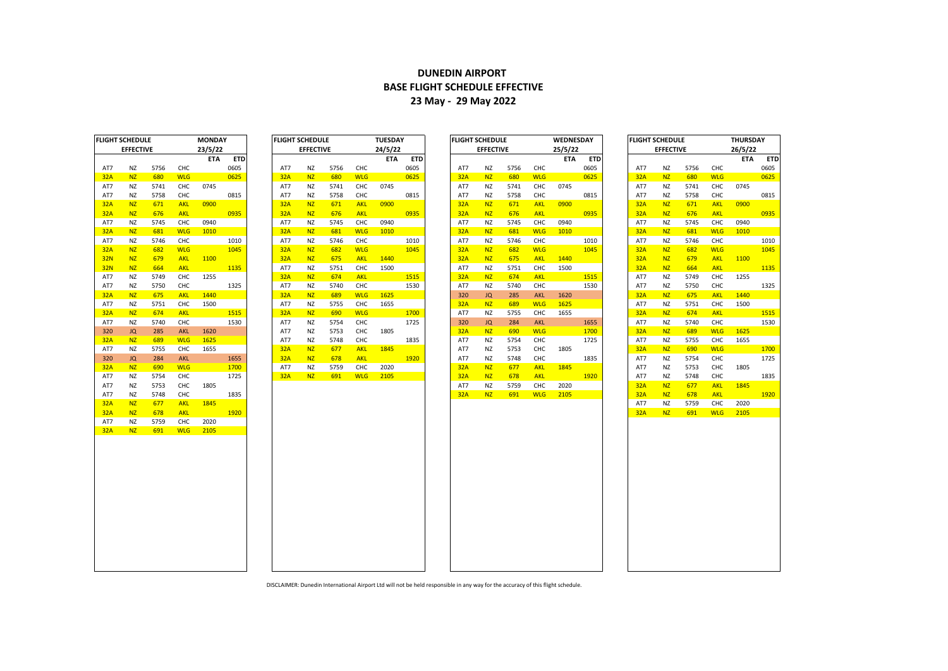## **DUNEDIN AIRPORT BASE FLIGHT SCHEDULE EFFECTIVE 23 May - 29 May 2022**

| <b>FLIGHT SCHEDULE</b> |                  |      |            | MONDAY     |            |
|------------------------|------------------|------|------------|------------|------------|
|                        | <b>EFFECTIVE</b> |      |            | 23/5/22    |            |
|                        |                  |      |            | <b>ETA</b> | <b>ETD</b> |
| AT7                    | NZ               | 5756 | CHC        |            | 0605       |
| 32A                    | NZ               | 680  | <b>WLG</b> |            | 0625       |
| AT7                    | ΝZ               | 5741 | CHC        | 0745       |            |
| AT7                    | ΝZ               | 5758 | CHC        |            | 0815       |
| 32A                    | <b>NZ</b>        | 671  | <b>AKL</b> | 0900       |            |
| 32A                    | <b>NZ</b>        | 676  | <b>AKL</b> |            | 0935       |
| AT7                    | ΝZ               | 5745 | CHC        | 0940       |            |
| 32A                    | NZ               | 681  | <b>WLG</b> | 1010       |            |
| AT7                    | ΝZ               | 5746 | снс        |            | 1010       |
| 32A                    | <b>NZ</b>        | 682  | <b>WLG</b> |            | 1045       |
| <b>32N</b>             | <b>NZ</b>        | 679  | <b>AKL</b> | 1100       |            |
| <b>32N</b>             | <b>NZ</b>        | 664  | <b>AKL</b> |            | 1135       |
| AT7                    | ΝZ               | 5749 | CHC        | 1255       |            |
| AT7                    | ΝZ               | 5750 | CHC        |            | 1325       |
| 32A                    | <b>NZ</b>        | 675  | <b>AKL</b> | 1440       |            |
| AT7                    | NZ               | 5751 | CHC        | 1500       |            |
| 32A                    | NZ               | 674  | <b>AKL</b> |            | 1515       |
| AT7                    | ΝZ               | 5740 | CHC        |            | 1530       |
| 320                    | JQ               | 285  | <b>AKL</b> | 1620       |            |
| 32A                    | <b>NZ</b>        | 689  | <b>WLG</b> | 1625       |            |
| AT7                    | NZ               | 5755 | CHC        | 1655       |            |
| 320                    | JQ               | 284  | <b>AKL</b> |            | 1655       |
| <b>32A</b>             | <b>NZ</b>        | 690  | <b>WLG</b> |            | 1700       |
| AT7                    | ΝZ               | 5754 | CHC        |            | 1725       |
| AT7                    | ΝZ               | 5753 | CHC        | 1805       |            |
| AT7                    | NZ               | 5748 | CHC        |            | 1835       |
| 32A                    | <b>NZ</b>        | 677  | <b>AKL</b> | 1845       |            |
| 32A                    | <b>NZ</b>        | 678  | <b>AKL</b> |            | 1920       |
| AT7                    | ΝZ               | 5759 | CHC        | 2020       |            |
| <b>32A</b>             | NZ               | 691  | <b>WLG</b> | 2105       |            |
|                        |                  |      |            |            |            |

|                 | שטששה וחטו       |      |            | <b>IVIUIVUAT</b> |            |     | ruuni sunuvuu    |      |            | <b>IULJUAI</b> |            |     | ruuni junuvuu    |      |            | <b><i>UVLDIVLJUAT</i></b> |            |            | ruuni sunuvuu    |      |            | <b>INON</b> |
|-----------------|------------------|------|------------|------------------|------------|-----|------------------|------|------------|----------------|------------|-----|------------------|------|------------|---------------------------|------------|------------|------------------|------|------------|-------------|
|                 | <b>EFFECTIVE</b> |      |            | 23/5/22          |            |     | <b>EFFECTIVE</b> |      |            | 24/5/22        |            |     | <b>EFFECTIVE</b> |      |            | 25/5/22                   |            |            | <b>EFFECTIVE</b> |      |            | 26/5/       |
|                 |                  |      |            | <b>ETA</b>       | <b>ETD</b> |     |                  |      |            | <b>ETA</b>     | <b>ETD</b> |     |                  |      |            | <b>ETA</b>                | <b>ETD</b> |            |                  |      |            | ET          |
| AT7             | NZ               | 5756 | CHC        |                  | 0605       | AT7 | ΝZ               | 5756 | CHC        |                | 0605       | AT7 | ΝZ               | 5756 | CHC        |                           | 0605       | AT7        | ΝZ               | 5756 | CHC        |             |
| 32A             | <b>NZ</b>        | 680  | <b>WLG</b> |                  | 0625       | 32A | <b>NZ</b>        | 680  | <b>WLG</b> |                | 0625       | 32A | <b>NZ</b>        | 680  | <b>WLG</b> |                           | 0625       | 32A        | <b>NZ</b>        | 680  | <b>WLG</b> |             |
| AT7             | NZ               | 5741 | CHC        | 0745             |            | AT7 | ΝZ               | 5741 | CHC        | 0745           |            | AT7 | ΝZ               | 5741 | CHC        | 0745                      |            | AT7        | NZ               | 5741 | CHC        | 0745        |
| AT7             | <b>NZ</b>        | 5758 | CHC        |                  | 0815       | AT7 | ΝZ               | 5758 | CHC        |                | 0815       | AT7 | ΝZ               | 5758 | CHC        |                           | 0815       | AT7        | <b>NZ</b>        | 5758 | CHC        |             |
| 32A             | <b>NZ</b>        | 671  | <b>AKL</b> | 0900             |            | 32A | <b>NZ</b>        | 671  | <b>AKL</b> | 0900           |            | 32A | <b>NZ</b>        | 671  | <b>AKL</b> | 0900                      |            | 32A        | <b>NZ</b>        | 671  | <b>AKL</b> | 0900        |
| 32A             | <b>NZ</b>        | 676  | <b>AKL</b> |                  | 0935       | 32A | <b>NZ</b>        | 676  | <b>AKL</b> |                | 0935       | 32A | NZ               | 676  | <b>AKL</b> |                           | 0935       | 32A        | <b>NZ</b>        | 676  | <b>AKL</b> |             |
| AT7             | NZ               | 5745 | CHC        | 0940             |            | AT7 | NZ               | 5745 | CHC        | 0940           |            | AT7 | ΝZ               | 5745 | CHC        | 0940                      |            | AT7        | <b>NZ</b>        | 5745 | CHC        | 0940        |
| 32A             | <b>NZ</b>        | 681  | <b>WLG</b> | 1010             |            | 32A | <b>NZ</b>        | 681  | <b>WLG</b> | 1010           |            | 32A | <b>NZ</b>        | 681  | <b>WLG</b> | 1010                      |            | 32A        | <b>NZ</b>        | 681  | <b>WLG</b> | 1010        |
| AT7             | <b>NZ</b>        | 5746 | CHC        |                  | 1010       | AT7 | NZ               | 5746 | CHC        |                | 1010       | AT7 | <b>NZ</b>        | 5746 | CHC        |                           | 1010       | AT7        | <b>NZ</b>        | 5746 | CHC        |             |
| 32A             | <b>NZ</b>        | 682  | <b>WLG</b> |                  | 1045       | 32A | <b>NZ</b>        | 682  | <b>WLG</b> |                | 1045       | 32A | <b>NZ</b>        | 682  | <b>WLG</b> |                           | 1045       | 32A        | <b>NZ</b>        | 682  | <b>WLG</b> |             |
| 32 <sub>N</sub> | NZ               | 679  | <b>AKL</b> | 1100             |            | 32A | <b>NZ</b>        | 675  | <b>AKL</b> | 1440           |            | 32A | NZ               | 675  | <b>AKL</b> | 1440                      |            | 32A        | NZ               | 679  | <b>AKL</b> | 1100        |
| 32 <sub>N</sub> | <b>NZ</b>        | 664  | <b>AKL</b> |                  | 1135       | AT7 | NZ               | 5751 | CHC        | 1500           |            | AT7 | ΝZ               | 5751 | CHC        | 1500                      |            | 32A        | NZ               | 664  | <b>AKL</b> |             |
| AT7             | <b>NZ</b>        | 5749 | CHC        | 1255             |            | 32A | <b>NZ</b>        | 674  | <b>AKL</b> |                | 1515       | 32A | <b>NZ</b>        | 674  | <b>AKL</b> |                           | 1515       | AT7        | <b>NZ</b>        | 5749 | CHC        | 1255        |
| AT7             | NZ               | 5750 | CHC        |                  | 1325       | AT7 | ΝZ               | 5740 | CHC        |                | 1530       | AT7 | ΝZ               | 5740 | CHC        |                           | 1530       | AT7        | <b>NZ</b>        | 5750 | CHC        |             |
| 32A             | <b>NZ</b>        | 675  | <b>AKL</b> | 1440             |            | 32A | <b>NZ</b>        | 689  | <b>WLG</b> | 1625           |            | 320 | JQ               | 285  | <b>AKL</b> | 1620                      |            | 32A        | <b>NZ</b>        | 675  | <b>AKL</b> | 1440        |
| AT7             | NZ               | 5751 | CHC        | 1500             |            | AT7 | ΝZ               | 5755 | CHC        | 1655           |            | 32A | NZ               | 689  | <b>WLG</b> | 1625                      |            | AT7        | NZ               | 5751 | CHC        | 1500        |
| 32A             | <b>NZ</b>        | 674  | <b>AKL</b> |                  | 1515       | 32A | <b>NZ</b>        | 690  | <b>WLG</b> |                | 1700       | AT7 | <b>NZ</b>        | 5755 | CHC        | 1655                      |            | <b>32A</b> | <b>NZ</b>        | 674  | <b>AKL</b> |             |
| AT7             | <b>NZ</b>        | 5740 | CHC        |                  | 1530       | AT7 | ΝZ               | 5754 | CHC        |                | 1725       | 320 | JQ               | 284  | <b>AKL</b> |                           | 1655       | AT7        | <b>NZ</b>        | 5740 | CHC        |             |
| 320             | <b>JQ</b>        | 285  | <b>AKL</b> | 1620             |            | AT7 | ΝZ               | 5753 | <b>CHC</b> | 1805           |            | 32A | NZ               | 690  | <b>WLG</b> |                           | 1700       | 32A        | <b>NZ</b>        | 689  | <b>WLG</b> | 1625        |
| 32A             | NZ               | 689  | <b>WLG</b> | 1625             |            | AT7 | ΝZ               | 5748 | CHC        |                | 1835       | AT7 | <b>NZ</b>        | 5754 | CHC        |                           | 1725       | AT7        | NZ               | 5755 | CHC        | 1655        |
| AT7             | NZ               | 5755 | CHC        | 1655             |            | 32A | <b>NZ</b>        | 677  | <b>AKL</b> | 1845           |            | AT7 | ΝZ               | 5753 | CHC        | 1805                      |            | 32A        | <b>NZ</b>        | 690  | <b>WLG</b> |             |
| 320             | <b>JQ</b>        | 284  | <b>AKL</b> |                  | 1655       | 32A | <b>NZ</b>        | 678  | <b>AKL</b> |                | 1920       | AT7 | <b>NZ</b>        | 5748 | CHC        |                           | 1835       | AT7        | <b>NZ</b>        | 5754 | CHC        |             |
| 32A             | <b>NZ</b>        | 690  | <b>WLG</b> |                  | 1700       | AT7 | ΝZ               | 5759 | CHC        | 2020           |            | 32A | <b>NZ</b>        | 677  | <b>AKL</b> | 1845                      |            | AT7        | <b>NZ</b>        | 5753 | CHC        | 1805        |
| AT7             | NZ               | 5754 | CHC        |                  | 1725       | 32A | <b>NZ</b>        | 691  | <b>WLG</b> | 2105           |            | 32A | <b>NZ</b>        | 678  | <b>AKL</b> |                           | 1920       | AT7        | <b>NZ</b>        | 5748 | CHC        |             |
| AT7             | NZ               | 5753 | CHC        | 1805             |            |     |                  |      |            |                |            | AT7 | ΝZ               | 5759 | CHC        | 2020                      |            | 32A        | NZ               | 677  | <b>AKL</b> | 1845        |
| AT7             | <b>NZ</b>        | 5748 | CHC        |                  | 1835       |     |                  |      |            |                |            | 32A | <b>NZ</b>        | 691  | <b>WLG</b> | 2105                      |            | 32A        | <b>NZ</b>        | 678  | <b>AKL</b> |             |
| 32A             | <b>NZ</b>        | 677  | <b>AKL</b> | 1845             |            |     |                  |      |            |                |            |     |                  |      |            |                           |            | AT7        | NZ               | 5759 | CHC        | 2020        |
| 32A             | <b>NZ</b>        | 678  | <b>AKL</b> |                  | 1920       |     |                  |      |            |                |            |     |                  |      |            |                           |            | <b>32A</b> | NZ               | 691  | <b>WLG</b> | 2105        |
| AT7             | NZ               | 5759 | CHC        | 2020             |            |     |                  |      |            |                |            |     |                  |      |            |                           |            |            |                  |      |            |             |
| 32A             | <b>NZ</b>        | 691  | <b>WLG</b> | 2105             |            |     |                  |      |            |                |            |     |                  |      |            |                           |            |            |                  |      |            |             |
|                 |                  |      |            |                  |            |     |                  |      |            |                |            |     |                  |      |            |                           |            |            |                  |      |            |             |
|                 |                  |      |            |                  |            |     |                  |      |            |                |            |     |                  |      |            |                           |            |            |                  |      |            |             |
|                 |                  |      |            |                  |            |     |                  |      |            |                |            |     |                  |      |            |                           |            |            |                  |      |            |             |
|                 |                  |      |            |                  |            |     |                  |      |            |                |            |     |                  |      |            |                           |            |            |                  |      |            |             |
|                 |                  |      |            |                  |            |     |                  |      |            |                |            |     |                  |      |            |                           |            |            |                  |      |            |             |
|                 |                  |      |            |                  |            |     |                  |      |            |                |            |     |                  |      |            |                           |            |            |                  |      |            |             |
|                 |                  |      |            |                  |            |     |                  |      |            |                |            |     |                  |      |            |                           |            |            |                  |      |            |             |
|                 |                  |      |            |                  |            |     |                  |      |            |                |            |     |                  |      |            |                           |            |            |                  |      |            |             |
|                 |                  |      |            |                  |            |     |                  |      |            |                |            |     |                  |      |            |                           |            |            |                  |      |            |             |
|                 |                  |      |            |                  |            |     |                  |      |            |                |            |     |                  |      |            |                           |            |            |                  |      |            |             |
|                 |                  |      |            |                  |            |     |                  |      |            |                |            |     |                  |      |            |                           |            |            |                  |      |            |             |

| FLIGHT SCHEDULE |                  |      |            | <b>MONDAY</b> |            | <b>FLIGHT SCHEDULE</b> |                  |      |            | <b>TUESDAY</b> |            | <b>FLIGHT SCHEDULE</b> |                  |      |            | <b>WEDNESDAY</b> |            | <b>FLIGHT SCHEDULE</b> |                  |      |            | <b>THURSDAY</b> |            |
|-----------------|------------------|------|------------|---------------|------------|------------------------|------------------|------|------------|----------------|------------|------------------------|------------------|------|------------|------------------|------------|------------------------|------------------|------|------------|-----------------|------------|
|                 | <b>EFFECTIVE</b> |      |            | 23/5/22       |            |                        | <b>EFFECTIVE</b> |      |            | 24/5/22        |            |                        | <b>EFFECTIVE</b> |      |            | 25/5/22          |            |                        | <b>EFFECTIVE</b> |      |            | 26/5/22         |            |
|                 |                  |      |            | <b>ETA</b>    | <b>ETD</b> |                        |                  |      |            | <b>ETA</b>     | <b>ETD</b> |                        |                  |      |            | <b>ETA</b>       | <b>ETD</b> |                        |                  |      |            | <b>ETA</b>      | <b>ETD</b> |
| AT7             | <b>NZ</b>        | 5756 | CHC        |               | 0605       | AT7                    | <b>NZ</b>        | 5756 | <b>CHC</b> |                | 0605       | AT7                    | NZ               | 5756 | CHC        |                  | 0605       | AT7                    | NZ               | 5756 | CHC        |                 | 0605       |
| <b>32A</b>      | <b>NZ</b>        | 680  | <b>WLG</b> |               | 0625       | 32A                    | <b>NZ</b>        | 680  | <b>WLG</b> |                | 0625       | 32A                    | N <sub>Z</sub>   | 680  | <b>WLG</b> |                  | 0625       | 32A                    | N <sub>Z</sub>   | 680  | <b>WLG</b> |                 | 0625       |
| AT7             | <b>NZ</b>        | 5741 | CHC        | 0745          |            | AT7                    | <b>NZ</b>        | 5741 | CHC        | 0745           |            | AT7                    | NZ               | 5741 | CHC        | 0745             |            | AT7                    | <b>NZ</b>        | 5741 | CHC        | 0745            |            |
| AT7             | <b>NZ</b>        | 5758 | CHC        |               | 0815       | AT7                    | NZ               | 5758 | CHC        |                | 0815       | AT7                    | NZ               | 5758 | CHC        |                  | 0815       | AT7                    | NZ               | 5758 | CHC        |                 | 0815       |
| 32A             | <b>NZ</b>        | 671  | <b>AKL</b> | 0900          |            | 32A                    | <b>NZ</b>        | 671  | <b>AKL</b> | 0900           |            | 32A                    | <b>NZ</b>        | 671  | <b>AKL</b> | 0900             |            | 32A                    | <b>NZ</b>        | 671  | <b>AKL</b> | 0900            |            |
| <b>32A</b>      | <b>NZ</b>        | 676  | <b>AKL</b> |               | 0935       | 32A                    | <b>NZ</b>        | 676  | <b>AKL</b> |                | 0935       | 32A                    | N <sub>Z</sub>   | 676  | <b>AKL</b> |                  | 0935       | 32A                    | N <sub>Z</sub>   | 676  | <b>AKL</b> |                 | 0935       |
| AT7             | <b>NZ</b>        | 5745 | CHC        | 0940          |            | AT7                    | NZ               | 5745 | CHC        | 0940           |            | AT7                    | <b>NZ</b>        | 5745 | CHC        | 0940             |            | AT7                    | NZ               | 5745 | CHC        | 0940            |            |
| 32A             | N <sub>Z</sub>   | 681  | <b>WLG</b> | 1010          |            | 32A                    | <b>NZ</b>        | 681  | <b>WLG</b> | 1010           |            | 32A                    | <b>NZ</b>        | 681  | <b>WLG</b> | 1010             |            | 32A                    | N <sub>Z</sub>   | 681  | <b>WLG</b> | 1010            |            |
| AT7             | NZ               | 5746 | CHC        |               | 1010       | AT7                    | NZ               | 5746 | CHC        |                | 1010       | AT7                    | ΝZ               | 5746 | CHC        |                  | 1010       | AT7                    | NZ               | 5746 | CHC        |                 | 1010       |
| <b>32A</b>      | <b>NZ</b>        | 682  | <b>WLG</b> |               | 1045       | 32A                    | <b>NZ</b>        | 682  | <b>WLG</b> |                | 1045       | 32A                    | <b>NZ</b>        | 682  | <b>WLG</b> |                  | 1045       | 32A                    | N <sub>Z</sub>   | 682  | <b>WLG</b> |                 | 1045       |
| <b>32N</b>      | <b>NZ</b>        | 679  | <b>AKL</b> | 1100          |            | 32A                    | <b>NZ</b>        | 675  | <b>AKL</b> | 1440           |            | 32A                    | <b>NZ</b>        | 675  | <b>AKL</b> | 1440             |            | 32A                    | <b>NZ</b>        | 679  | <b>AKL</b> | 1100            |            |
| <b>32N</b>      | <b>NZ</b>        | 664  | <b>AKL</b> |               | 1135       | AT7                    | <b>NZ</b>        | 5751 | CHC        | 1500           |            | AT7                    | NZ               | 5751 | CHC        | 1500             |            | 32A                    | <b>NZ</b>        | 664  | <b>AKL</b> |                 | 1135       |
| AT7             | NZ               | 5749 | CHC        | 1255          |            | 32A                    | <b>NZ</b>        | 674  | <b>AKL</b> |                | 1515       | 32A                    | N <sub>Z</sub>   | 674  | <b>AKL</b> |                  | 1515       | AT7                    | <b>NZ</b>        | 5749 | CHC        | 1255            |            |
| AT7             | NZ               | 5750 | CHC        |               | 1325       | AT7                    | <b>NZ</b>        | 5740 | CHC        |                | 1530       | AT7                    | NZ               | 5740 | CHC        |                  | 1530       | AT7                    | <b>NZ</b>        | 5750 | CHC        |                 | 1325       |
| <b>32A</b>      | <b>NZ</b>        | 675  | <b>AKL</b> | 1440          |            | 32A                    | <b>NZ</b>        | 689  | <b>WLG</b> | 1625           |            | 320                    | <b>JQ</b>        | 285  | <b>AKL</b> | 1620             |            | 32A                    | N <sub>Z</sub>   | 675  | <b>AKL</b> | 1440            |            |
| AT7             | <b>NZ</b>        | 5751 | CHC        | 1500          |            | AT7                    | NZ               | 5755 | <b>CHC</b> | 1655           |            | 32A                    | <b>NZ</b>        | 689  | <b>WLG</b> | 1625             |            | AT7                    | <b>NZ</b>        | 5751 | CHC        | 1500            |            |
| <b>32A</b>      | <b>NZ</b>        | 674  | <b>AKL</b> |               | 1515       | 32A                    | <b>NZ</b>        | 690  | <b>WLG</b> |                | 1700       | AT7                    | N <sub>Z</sub>   | 5755 | CHC        | 1655             |            | 32A                    | <b>NZ</b>        | 674  | <b>AKL</b> |                 | 1515       |
| AT7             | <b>NZ</b>        | 5740 | CHC        |               | 1530       | AT7                    | NZ               | 5754 | CHC        |                | 1725       | 320                    | JQ               | 284  | <b>AKL</b> |                  | 1655       | AT7                    | NZ               | 5740 | CHC        |                 | 1530       |
| 320             | JQ               | 285  | <b>AKL</b> | 1620          |            | AT7                    | <b>NZ</b>        | 5753 | CHC        | 1805           |            | 32A                    | N <sub>Z</sub>   | 690  | <b>WLG</b> |                  | 1700       | 32A                    | N <sub>Z</sub>   | 689  | <b>WLG</b> | 1625            |            |
| 32A             | <b>NZ</b>        | 689  | <b>WLG</b> | 1625          |            | AT7                    | NZ               | 5748 | CHC        |                | 1835       | AT7                    | NZ               | 5754 | CHC        |                  | 1725       | AT7                    | <b>NZ</b>        | 5755 | CHC        | 1655            |            |
| AT7             | <b>NZ</b>        | 5755 | CHC        | 1655          |            | 32A                    | <b>NZ</b>        | 677  | <b>AKL</b> | 1845           |            | AT7                    | <b>NZ</b>        | 5753 | CHC        | 1805             |            | 32A                    | N <sub>Z</sub>   | 690  | <b>WLG</b> |                 | 1700       |
| 320             | JQ               | 284  | AKL        |               | 1655       | 32A                    | N <sub>Z</sub>   | 678  | <b>AKL</b> |                | 1920       | AT7                    | <b>NZ</b>        | 5748 | CHC        |                  | 1835       | AT7                    | <b>NZ</b>        | 5754 | CHC        |                 | 1725       |
| 32A             | <b>NZ</b>        | 690  | <b>WLG</b> |               | 1700       | AT7                    | <b>NZ</b>        | 5759 | CHC        | 2020           |            | 32A                    | <b>NZ</b>        | 677  | <b>AKL</b> | 1845             |            | AT7                    | <b>NZ</b>        | 5753 | CHC        | 1805            |            |
| AT7             | N <sub>Z</sub>   | 5754 | CHC        |               | 1725       | 32A                    | <b>NZ</b>        | 691  | <b>WLG</b> | 2105           |            | 32A                    | N <sub>Z</sub>   | 678  | <b>AKL</b> |                  | 1920       | AT7                    | <b>NZ</b>        | 5748 | CHC        |                 | 1835       |
| AT7             | <b>NZ</b>        | 5753 | CHC        | 1805          |            |                        |                  |      |            |                |            | AT7                    | NZ               | 5759 | CHC        | 2020             |            | 32A                    | <b>NZ</b>        | 677  | <b>AKL</b> | 1845            |            |
| AT7             | <b>NZ</b>        | 5748 | CHC        |               | 1835       |                        |                  |      |            |                |            | 32A                    | NZ               | 691  | <b>WLG</b> | 2105             |            | 32A                    | N <sub>7</sub>   | 678  | <b>AKL</b> |                 | 1920       |
|                 |                  |      |            |               |            |                        |                  |      |            |                |            |                        |                  |      |            |                  |            |                        |                  |      |            |                 |            |

| AT7<br><b>32A</b><br>AT7<br>AT7 | <b>EFFECTIVE</b><br>ΝZ<br><b>NZ</b> | 5756<br>680 | CHC        | 26/5/22<br>ETA | <b>ETD</b><br>0605 |
|---------------------------------|-------------------------------------|-------------|------------|----------------|--------------------|
|                                 |                                     |             |            |                |                    |
|                                 |                                     |             |            |                |                    |
|                                 |                                     |             |            |                |                    |
|                                 |                                     |             | <b>WLG</b> |                | 0625               |
|                                 | ΝZ                                  | 5741        | CHC        | 0745           |                    |
|                                 | ΝZ                                  | 5758        | CHC        |                | 0815               |
| 32A                             | <b>NZ</b>                           | 671         | <b>AKL</b> | 0900           |                    |
| 32A                             | <b>NZ</b>                           | 676         | <b>AKL</b> |                | 0935               |
| AT7                             | NZ                                  | 5745        | CHC        | 0940           |                    |
| 32A                             | <b>NZ</b>                           | 681         | <b>WLG</b> | 1010           |                    |
| AT7                             | ΝZ                                  | 5746        | CHC        |                | 1010               |
| 32A                             | <b>NZ</b>                           | 682         | <b>WLG</b> |                | 1045               |
| 32A                             | <b>NZ</b>                           | 679         | <b>AKL</b> | 1100           |                    |
| 32A                             | NZ                                  | 664         | <b>AKL</b> |                | 1135               |
| AT7                             | ΝZ                                  | 5749        | CHC        | 1255           |                    |
| AT7                             | ΝZ                                  | 5750        | CHC        |                | 1325               |
| 32A                             | <b>NZ</b>                           | 675         | <b>AKL</b> | 1440           |                    |
| AT7                             | ΝZ                                  | 5751        | CHC        | 1500           |                    |
| 32A                             | <b>NZ</b>                           | 674         | <b>AKL</b> |                | 1515               |
| AT7                             | ΝZ                                  | 5740        | CHC        |                | 1530               |
| 32A                             | <b>NZ</b>                           | 689         | <b>WLG</b> | 1625           |                    |
| AT7                             | ΝZ                                  | 5755        | CHC        | 1655           |                    |
| 32A                             | <b>NZ</b>                           | 690         | <b>WLG</b> |                | 1700               |
| AT7                             | NZ                                  | 5754        | CHC        |                | 1725               |
| AT7                             | ΝZ                                  | 5753        | CHC        | 1805           |                    |
| AT7                             | ΝZ                                  | 5748        | CHC        |                | 1835               |
| 32A                             | <b>NZ</b>                           | 677         | <b>AKL</b> | 1845           |                    |
| 32A                             | <b>NZ</b>                           | 678         | <b>AKL</b> |                | 1920               |
| AT7                             | ΝZ                                  | 5759        | CHC        | 2020           |                    |
| 32A                             | NZ                                  | 691         | <b>WLG</b> | 2105           |                    |
|                                 |                                     |             |            |                |                    |

**10** 

DISCLAIMER: Dunedin International Airport Ltd will not be held responsible in any way for the accuracy of this flight schedule.